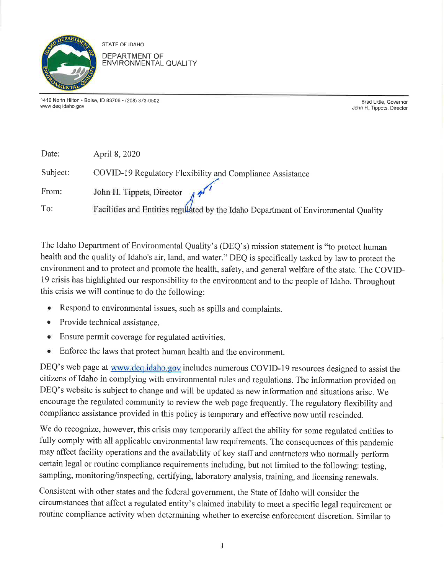

STATE OF IDAHO DEPARTMENT OF ENVIRONMENTAL QUALITY

1410 North Hilton . Boise, ID 83706 . (208) 373-0502 www.deq. idaho. gov

Brad Little, Governor John H. Tippets, Director

| Date:    | April 8, 2020                                                                      |
|----------|------------------------------------------------------------------------------------|
| Subject: | COVID-19 Regulatory Flexibility and Compliance Assistance                          |
| From:    | John H. Tippets, Director $\pi^{1/4}$                                              |
| To:      | Facilities and Entities regulated by the Idaho Department of Environmental Quality |

The Idaho Department of Environmental Quality's (DEQ's) mission statement is "to protect human health and the quality of Idaho's air, land, and water." DEQ is specifically tasked by law to protect the environment and to protect and promote the health, safety, and general welfare of the state. The COVID-19 crisis has highlighted our responsibility to the environment and to the people of Idaho. Throughout this crisis we will continue to do the following:

- Respond to environmental issues, such as spills and complaints.
- Provide technical assistance.
- o Ensure permit coverage for regulated activities.
- o Enforce the laws that protect human health and the environment.

DEQ's web page at www.deq.idaho.gov includes numerous COVID-19 resources designed to assist the citizens of Idaho in complying with environmental rules and regulations. The information provided on DEQ's website is subject to change and will be updated as new information and situations arise. We encourage the regulated community to review the web page frequently. The regulatory flexibility and compliance assistance provided in this policy is temporary and effective now until rescinded.

We do recognize, however, this crisis may temporarily affect the ability for some regulated entities to fully comply with all applicable environmental law requirements. The consequences of this pandemic may affect facility operations and the availability of key staff and contractors who normally perform certain legal or routine compliance requirements including, but not limited to the following: testing, sampling, monitoring/inspecting, certifying, laboratory analysis, training, and licensing renewals.

Consistent with other states and the federal government, the State of Idaho will consider the circumstances that affect a regulated entity's claimed inability to meet a specific legal requirement or routine compliance activity when determining whether to exercise enforcement discretion. Similar to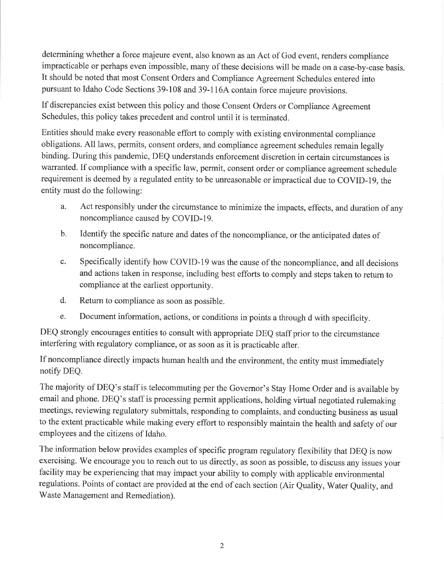determining whether a force majeure event, also known as an Act of God event, renders compliance impracticable or perhaps even impossible, many of these decisions will be made on a case-by-case basis. It should be noted that most Consent Orders and Compliance Agreement Schedules entered into pursuant to Idaho Code Sections 39-108 and 39-116A contain force majeure provisions.

If discrepancies exist between this policy and those Consent Orders or Compliance Agreement Schedules, this policy takes precedent and control until it is terminated.

Entities should make every reasonable effort to comply with existing environmental compliance obligations. All laws, permits, consent orders, and compliance agreement schedules remain legally binding. During this pandemic, DEQ understands enforcement discretion in certain circumstances is warranted. If compliance with a specific law, permit, consent order or compliance agreement schedule requirement is deemed by a regulated entity to be unreasonable or impractical due to COVID-I9, the entity must do the following:

- a. Act responsibly under the circumstance to minimize the impacts, effects, and duration of any noncompliance caused by COVID-I9.
- b. Identify the specific nature and dates of the noncompliance, or the anticipated dates of noncompliance.
- c. Specifically identify how COVID-l9 was the cause of the noncompliance, and all decisions and actions taken in response, including best efforts to comply and steps taken to return to compliance at the earliest opportunity.
- d. Return to compliance as soon as possible.
- e. Document information, actions, or conditions in points a through d with specificity.

DEQ strongly encourages entities to consult with appropriate DEQ staff prior to the circumstance interfering with regulatory compliance, or as soon as it is practicable after.

If noncompliance directly impacts human health and the environment, the entity must immediately notify DEQ.

The majority of DEQ's staff is telecommuting per the Governor's Stay Home Order and is available by email and phone. DEQ's staff is processing permit applications, holding virtual negotiated rulemaking meetings, reviewing regulatory submittals, responding to complaints, and conducting business as usual to the extent practicable while making every effort to responsibly maintain the health and safety of our employees and the citizens of Idaho.

The information below provides examples of specific program regulatory flexibility that DEQ is now exercising. We encourage you to reach out to us directly, as soon as possible, to discuss any issues your facility may be experiencing that may impact your ability to comply with applicable environmental regulations. Points of contact are provided at the end of each section (Air Quality, Water Quality, and Waste Management and Remediation).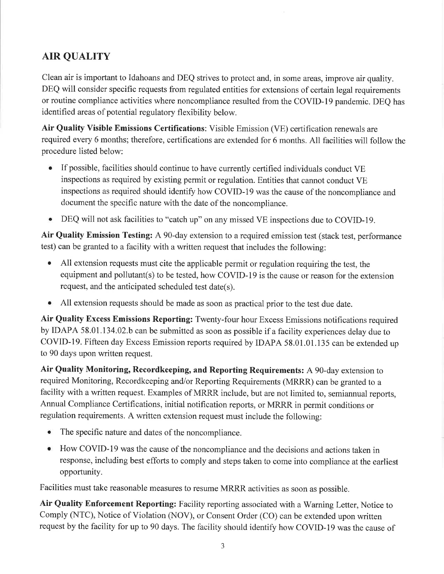# AIR QUALITY

Clean air is important to Idahoans and DEQ strives to protect and, in some areas, improve air quality. DEQ will consider specific requests from regulated entities for extensions of certain legal requirements or routine compliance activities where noncompliance resulted from the COVID-19 pandemic. DEQ has identified areas of potential regulatory flexibility below.

Air Quality Visible Emissions Certifications: Visible Emission (VE) certification renewals are required every 6 months; therefore, certifications are extended for 6 months. All facilities will follow the procedure listed below:

- o If possible, facilities should continue to have currently certified individuals conduct VE inspections as required by existing permit or regulation. Entities that cannot conduct VE inspections as required should identify how COVID-I9 was the cause of the noncompliance and document the specific nature with the date of the noncompliance.
- o DEQ will not ask facilities to "catch up" on any missed VE inspections due to COVID-19.

Air Quality Emission Testing: A 90-day extension to a required emission test (stack test, performance test) can be granted to a facility with a written request that includes the following:

- All extension requests must cite the applicable permit or regulation requiring the test, the equipment and pollutant(s) to be tested, how COVID-19 is the cause or reason for the extension request, and the anticipated scheduled test date(s).
- . All extension requests should be made as soon as practical prior to the test due date.

Air Quality Excess Emissions Reporting: Twenty-four hour Excess Emissions notifications required by IDAPA 58.01. 134.02.b can be submitted as soon as possible if a facility experiences delay due to COVID-l9. Fifteen day Excess Emission reports required by IDAPA 58.01.01.135 can be extended up to 90 days upon written request.

Air Quality Monitoring, Recordkeeping, and Reporting Requirements: A 90-day extension to required Monitoring, Recordkeeping and/or Reporting Requirements (MRRR) can be granted to <sup>a</sup> facility with a written request. Examples of MRRR include, but are not limited to, semiannual reports, Annual Compliance Certifications, initial notification reports, or MRRR in permit conditions or regulation requirements. A written extension request must include the following:

- o The specific nature and dates of the noncompliance.
- o How COVID-19 was the cause of the noncompliance and the decisions and actions taken in response, including best efforts to comply and steps taken to come into compliance at the earliest opportunity.

Facilities must take reasonable measures to resume MRRR activities as soon as possible.

Air Quality Enforcement Reporting: Facility reporting associated with a Warning Letter, Notice to Comply (NTC), Notice of Violation (NOV), or Consent Order (CO) can be extended upon written request by the facility for up to 90 days. The facility should identify how COVID-l9 was the cause of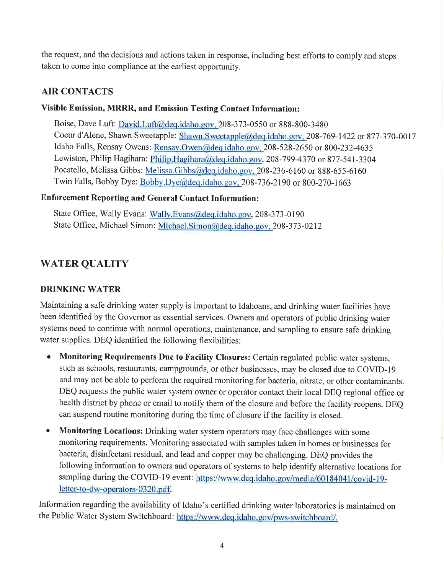the request, and the decisions and actions taken in response, including best efforts to comply and steps taken to come into compliance at the earliest opportunity.

## AIR CONTACTS

## Visible Emission, MRRR, and Emission Testing Contact Information:

Boise, Dave Luft: David.Luft@deq.idaho.gov. 208-373-0550 or 888-800-3480 Coeur d'Alene, Shawn Sweetapple: Shawn.Sweetapple@deq.idaho.gov. 208-169-1422 or 877-370-0017 Idaho Falls, Rensay Owens: Rensay.Owen@deq.idaho.gov, 208-528-2650 or 800-232-4635 Lewiston, Philip Hagihara: Philip.Hagihara@deq.idaho.gov, 208-799-4370 or 877-541-3304 Pocatello, Melissa Gibbs: Melissa.Gibbs@deq.idaho.gov, 208-236-6160 or 888-655-6160 Twin Falls, Bobby Dye: Bobby.Dye@deq.idaho.gov, 208-736-2190 or 800-270-1663

## Enforcement Reporting and General Contact Information:

State Office, Wally Evans: Wally.Evans@deq.idaho.gov, 208-373-0190 State Office, Michael Simon: Michael. Simon@deq.idaho.gov. 208-373-0212

# WATER QUALITY

## DRINKING WATER

Maintaining a safe drinking water supply is important to Idahoans, and drinking water facilities have been identified by the Governor as essential services. Owners and operators of public drinking water systems need to continue with normal operations, maintenance, and sampling to ensure safe drinking water supplies. DEQ identified the following flexibilities:

- Monitoring Requirements Due to Facility Closures: Certain regulated public water systems, such as schools, restaurants, campgrounds, or other businesses, may be closed due to COVID-19 and may not be able to perform the required monitoring for bacteria, nitrate, or other contaminants. DEQ requests the public water system owner or operator contact their local DEQ regional office or health district by phone or email to notify them of the closure and before the facility reopens. DEQ can suspend routine monitoring during the time of closure if the facility is closed.
- **Monitoring Locations:** Drinking water system operators may face challenges with some monitoring requirements. Monitoring associated with samples taken in homes or businesses for bacteria, disinfectant residual, and lead and copper may be challenging. DEQ provides the following information to owners and operators of systems to help identify alternative locations for sampling during the COVID-19 event: https://www.deq.idaho.gov/media/60184041/covid-19letter-to-dw-operators-0320.pdf.

Information regarding the availability of Idaho's certified drinking water laboratories is maintained on the Public Water System Switchboard: https://www.deq.idaho.gov/pws-switchboard/.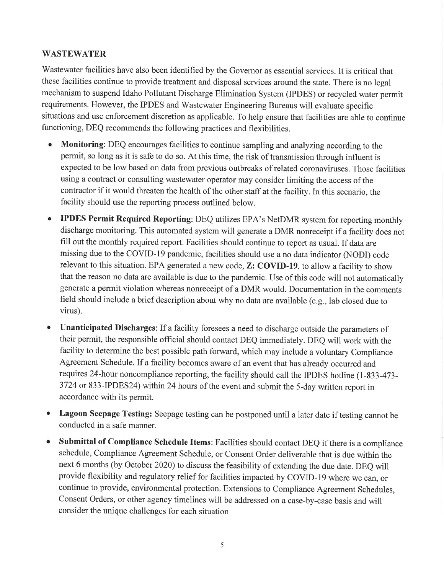## WASTEWATER

Wastewater facilities have also been identified by the Governor as essential services. It is critical that these facilities continue to provide treatment and disposal services around the state. There is no legal mechanism to suspend Idaho Pollutant Discharge Elimination System (IPDES) or recycled water permit requirements. However, the IPDES and Wastewater Engineering Bureaus will evaluate specific situations and use enforcement discretion as applicable. To help ensure that facilities are able to continue functioning, DEQ recommends the following practices and flexibilities.

- o Monitoring: DEQ encourages facilities to continue sampling and analyzing according to the permit, so long as it is safe to do so. At this time, the risk of transmission through influent is expected to be low based on data from previous outbreaks of related coronaviruses. Those facilities using a contract or consulting wastewater operator may consider limiting the access of the contractor if it would threaten the health of the other staff at the facility. In this scenario, the facility should use the reporting process outlined below.
- o IPDES Permit Required Reporting: DEQ utilizes EPA's NetDMR system for reporting monthly discharge monitoring. This automated system will generate a DMR nonreceipt if a facility does not fill out the monthly required report. Facilities should continue to report as usual. If data are missing due to the COVID-19 pandemic, facilities should use a no data indicator (NODI) code relevant to this situation. EPA generated a new code, Z: COVID-19, to allow a facility to show that the reason no data are available is due to the pandemic. Use of this code will not automatically generate a permit violation whereas nonreceipt of a DMR would. Documentation in the comments field should include a brief description about why no data are available (e.g., lab closed due to virus).
- Unanticipated Discharges: If a facility foresees a need to discharge outside the parameters of their permit, the responsible official should contact DEQ immediately. DEQ will work with the facility to determine the best possible path forward, which may include a voluntary Compliance Agreement Schedule. If a facility becomes aware of an event that has already occurred and requires 24-hour noncompliance reporting, the facility should call the IPDES hotline (1-833-473-3724 or 833-IPDES24) within24 hours of the event and submit the 5-day written report in accordance with its permit.
- o Lagoon Seepage Testing: Seepage testing can be postponed until a later date if testing cannot be conducted in a safe manner.
- o Submittal of Compliance Schedule Items: Facilities should contact DEQ if there is a compliance schedule, Compliance Agreement Schedule, or Consent Order deliverable that is due within the next 6 months (by October 2020) to discuss the feasibility of extending the due date. DEQ will provide flexibility and regulatory relief for facilities impacted by COVID-19 where we can, or continue to provide, environmental protection. Extensions to Compliance Agreement Schedules, Consent Orders, or other agency timelines will be addressed on a case-by-case basis and will consider the unique challenges for each situation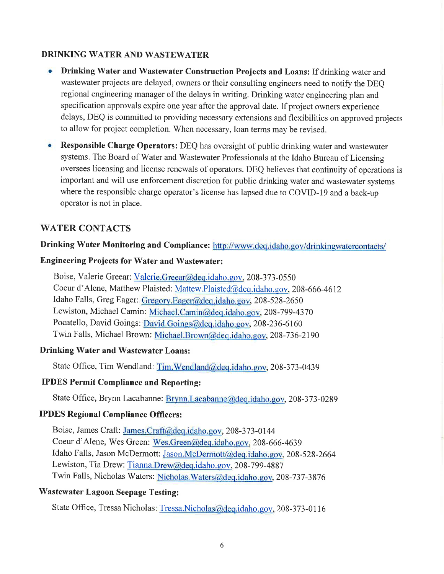## DRINKING WATER AND WASTEWATER

- Drinking Water and Wastewater Construction Projects and Loans: If drinking water and wastewater projects are delayed, owners or their consulting engineers need to notify the DEQ regional engineering manager of the delays in writing. Drinking water engineering plan and specification approvals expire one year after the approval date. If project owners experience delays, DEQ is committed to providing necessary extensions and flexibilities on approved projects to allow for project completion. When necessary, loan terms may be revised.
- o Responsible Charge Operators: DEQ has oversight of public drinking water and wastewater systems. The Board of Water and Wastewater Professionals at the Idaho Bureau of Licensing oversees licensing and license renewals of operators. DEQ believes that continuity of operations is important and will use enforcement discretion for public drinking water and wastewater systems where the responsible charge operator's license has lapsed due to COVID-19 and a back-up operator is not in place.

## WATER CONTACTS

### Drinking Water Monitoring and Compliance: http://www.deq.idaho.gov/drinkingwatercontacts/

### Engineering Projects for Water and Wastewater:

Boise, Valerie Greear: Valerie.Greear@deq.idaho.gov, 208-373-0550 Coeur d'Alene, Matthew Plaisted: Mattew.Plaisted@deq.idaho.gov, 208-666-4612 Idaho Falls, Greg Eager: Gregory.Eager@deq.idaho.gov, 208-528-2650 Lewiston, Michael Camin: Michael. Camin@deq.idaho.gov, 208-799-4370 Pocatello, David Goings: David.Goings@deq.idaho.gov, 208-236-6160 Twin Falls, Michael Brown: Michael.Brown@deq.idaho.gov, 208-736-2190

### Drinking Water and Wastewater Loans:

State Office, Tim Wendland: Tim. Wendland@deq.idaho.gov, 208-373-0439

### IPDES Permit Compliance and Reporting:

State Office, Brynn Lacabanne: Brynn.Lacabanne@deq.idaho.gov, 208-373-0289

## IPDES Regional Compliance Officers:

Boise, James Craft: James.Craft@deq.idaho.gov, 208-373-0144 Coeur d'Alene, Wes Green: Wes.Green@deq.idaho.gov, 208-666-4639 Idaho Falls, Jason McDermott: Jason.McDermott@deq.idaho.gov, 208-528-2664 Lewiston, Tia Drew: Tianna.Drew@deq.idaho.gov. 208-799-4887 Twin Falls, Nicholas Waters: Nicholas. Waters@deq.idaho.gov, 208-737-3876

## Wastewater Lagoon Seepage Testing:

State Office, Tressa Nicholas: <u>Tressa.Nicholas@deq.idaho.gov</u>, 208-373-0116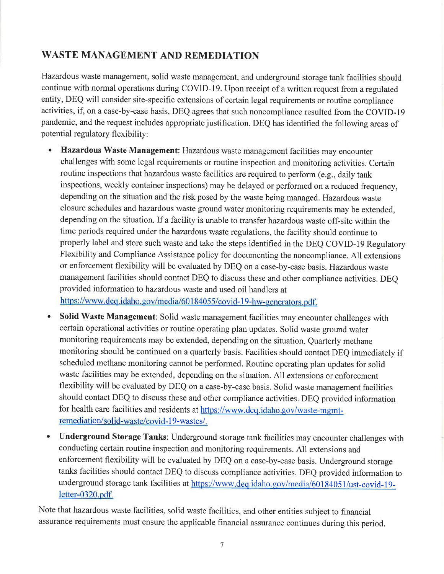# WASTE MANAGEMENT AND REMEDIATION

Hazardous waste management, solid waste management, and underground storage tank facilities should continue with normal operations during COVID-19. Upon receipt of a written request from a regulated entity, DEQ will consider site-specific extensions of certain legal requirements or routine compliance activities, if, on a case-by-case basis, DEQ agrees that such noncompliance resulted from the COVID-19 pandemic, and the request includes appropriate justification. DEQ has identified the following areas of potential regulatory flexibility:

- Hazardous Waste Management: Hazardous waste management facilities may encounter challenges with some legal requirements or routine inspection and monitoring activities. Certain routine inspections that hazardous waste facilities are required to perform (e.g., daily tank inspections, weekly container inspections) may be delayed or performed on a reduced frequency, depending on the situation and the risk posed by the waste being managed. Hazardous waste closure schedules and hazardous waste ground water monitoring requirements may be extended, depending on the situation. If a facility is unable to transfer hazardous waste off-site within the time periods required under the hazardous waste regulations, the facility should continue to properly label and store such waste and take the steps identified in the DEQ COVID-I9 Regulatory Flexibility and Compliance Assistance policy for documenting the noncompliance. All extensions or enforcement flexibility will be evaluated by DEQ on a case-by-case basis. Hazardous waste management facilities should contact DEQ to discuss these and other compliance activities. DEQ provided information to hazardous waste and used oil handlers at https://www.deq.idaho.gov/media/60184055/covid-19-hw-generators.pdf.
- Solid Waste Management: Solid waste management facilities may encounter challenges with certain operational activities or routine operating plan updates. Solid waste ground water monitoring requirements may be extended, depending on the situation. Quarterly methane monitoring should be continued on a quarterly basis. Facilities should contact DEQ immediately if scheduled methane monitoring cannot be performed. Routine operating plan updates for solid waste facilities may be extended, depending on the situation. All extensions or enforcement flexibility will be evaluated by DEQ on a case-by-case basis. Solid waste management facilities should contact DEQ to discuss these and other compliance activities. DEQ provided information a for health care facilities and residents at https://www.deq.idaho.gov/waste-mgmtremediation/solid-waste/covid-19-wastes/.
- a Underground Storage Tanks: Underground storage tank facilities may encounter challenges with conducting certain routine inspection and monitoring requirements. All extensions and enforcement flexibility will be evaluated by DEQ on a case-by-case basis. Underground storage tanks facilities should contact DEQ to discuss compliance activities. DEQ provided information to underground storage tank facilities at https://www.deq.idaho.gov/media/60184051/ust-covid-19letter-0320.pdf.

Note that hazardous waste facilities, solid waste facilities, and other entities subject to financial assurance requirements must ensure the applicable financial assurance continues during this period.